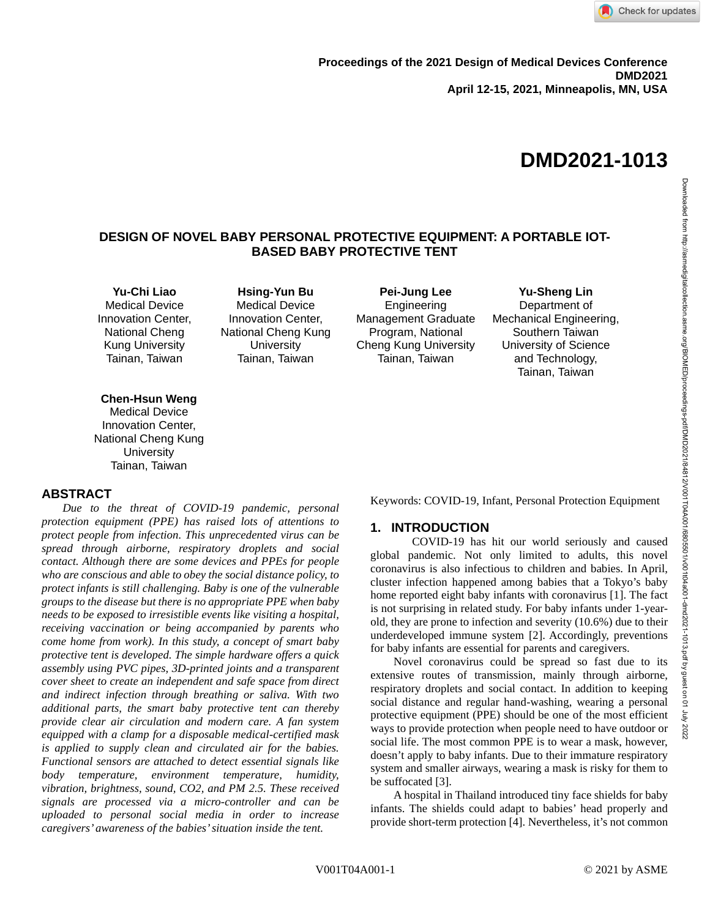

# **DESIGN OF NOVEL BABY PERSONAL PROTECTIVE EQUIPMENT: A PORTABLE IOT-BASED BABY PROTECTIVE TENT**

**Yu-Chi Liao** Medical Device Innovation Center, National Cheng Kung University Tainan, Taiwan

**Hsing-Yun Bu** Medical Device Innovation Center, National Cheng Kung **University** Tainan, Taiwan

**Pei-Jung Lee** Engineering Management Graduate Program, National Cheng Kung University Tainan, Taiwan

**Yu-Sheng Lin** Department of Mechanical Engineering, Southern Taiwan University of Science and Technology, Tainan, Taiwan

## **Chen-Hsun Weng**

Medical Device Innovation Center, National Cheng Kung **University** Tainan, Taiwan

## **ABSTRACT**

*Due to the threat of COVID-19 pandemic, personal protection equipment (PPE) has raised lots of attentions to protect people from infection. This unprecedented virus can be spread through airborne, respiratory droplets and social contact. Although there are some devices and PPEs for people who are conscious and able to obey the social distance policy, to protect infants is still challenging. Baby is one of the vulnerable groups to the disease but there is no appropriate PPE when baby needs to be exposed to irresistible events like visiting a hospital, receiving vaccination or being accompanied by parents who come home from work). In this study, a concept of smart baby protective tent is developed. The simple hardware offers a quick assembly using PVC pipes, 3D-printed joints and a transparent cover sheet to create an independent and safe space from direct and indirect infection through breathing or saliva. With two additional parts, the smart baby protective tent can thereby provide clear air circulation and modern care. A fan system equipped with a clamp for a disposable medical-certified mask is applied to supply clean and circulated air for the babies. Functional sensors are attached to detect essential signals like body temperature, environment temperature, humidity, vibration, brightness, sound, CO2, and PM 2.5. These received signals are processed via a micro-controller and can be uploaded to personal social media in order to increase caregivers' awareness of the babies' situation inside the tent.*

Keywords: COVID-19, Infant, Personal Protection Equipment

## **1. INTRODUCTION**

COVID-19 has hit our world seriously and caused global pandemic. Not only limited to adults, this novel coronavirus is also infectious to children and babies. In April, cluster infection happened among babies that a Tokyo's baby home reported eight baby infants with coronavirus [1]. The fact is not surprising in related study. For baby infants under 1-yearold, they are prone to infection and severity (10.6%) due to their underdeveloped immune system [2]. Accordingly, preventions for baby infants are essential for parents and caregivers.

Novel coronavirus could be spread so fast due to its extensive routes of transmission, mainly through airborne, respiratory droplets and social contact. In addition to keeping social distance and regular hand-washing, wearing a personal protective equipment (PPE) should be one of the most efficient ways to provide protection when people need to have outdoor or social life. The most common PPE is to wear a mask, however, doesn't apply to baby infants. Due to their immature respiratory system and smaller airways, wearing a mask is risky for them to be suffocated [3].

A hospital in Thailand introduced tiny face shields for baby infants. The shields could adapt to babies' head properly and provide short-term protection [4]. Nevertheless, it's not common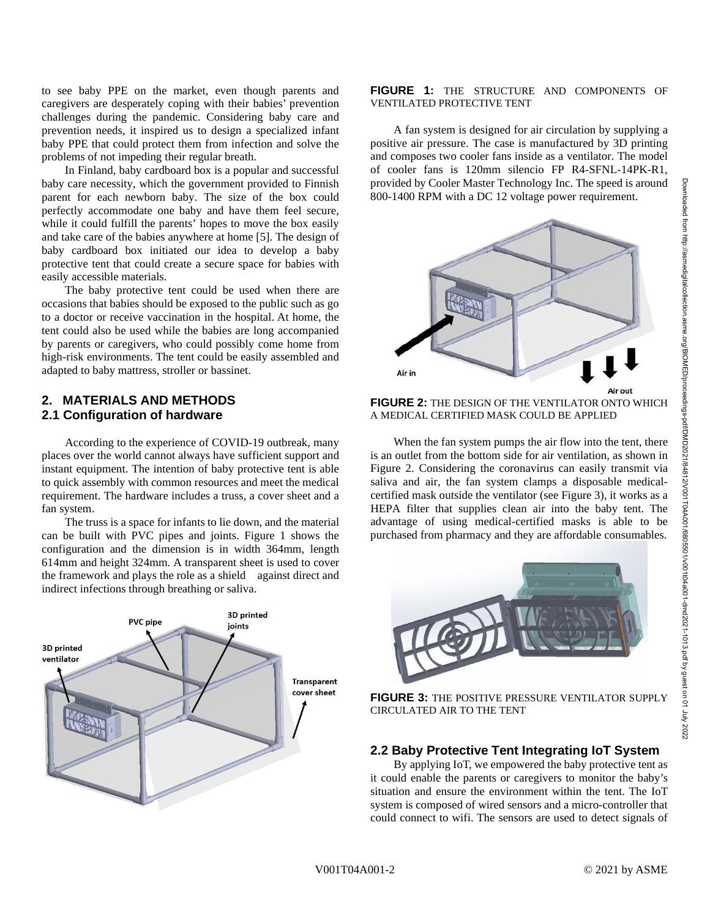to see baby PPE on the market, even though parents and caregivers are desperately coping with their babies' prevention challenges during the pandemic. Considering baby care and prevention needs, it inspired us to design a specialized infant baby PPE that could protect them from infection and solve the problems of not impeding their regular breath.

In Finland, baby cardboard box is a popular and successful baby care necessity, which the government provided to Finnish parent for each newborn baby. The size of the box could perfectly accommodate one baby and have them feel secure, while it could fulfill the parents' hopes to move the box easily and take care of the babies anywhere at home [5]. The design of baby cardboard box initiated our idea to develop a baby protective tent that could create a secure space for babies with easily accessible materials.

The baby protective tent could be used when there are occasions that babies should be exposed to the public such as go to a doctor or receive vaccination in the hospital. At home, the tent could also be used while the babies are long accompanied by parents or caregivers, who could possibly come home from high-risk environments. The tent could be easily assembled and adapted to baby mattress, stroller or bassinet.

## **2. MATERIALS AND METHODS 2.1 Configuration of hardware**

 According to the experience of COVID-19 outbreak, many places over the world cannot always have sufficient support and instant equipment. The intention of baby protective tent is able to quick assembly with common resources and meet the medical requirement. The hardware includes a truss, a cover sheet and a fan system.

The truss is a space for infants to lie down, and the material can be built with PVC pipes and joints. Figure 1 shows the configuration and the dimension is in width 364mm, length 614mm and height 324mm. A transparent sheet is used to cover the framework and plays the role as a shield against direct and indirect infections through breathing or saliva.



### **FIGURE 1:** THE STRUCTURE AND COMPONENTS OF VENTILATED PROTECTIVE TENT

A fan system is designed for air circulation by supplying a positive air pressure. The case is manufactured by 3D printing and composes two cooler fans inside as a ventilator. The model of cooler fans is 120mm silencio FP R4-SFNL-14PK-R1, provided by Cooler Master Technology Inc. The speed is around 800-1400 RPM with a DC 12 voltage power requirement.



**FIGURE 2:** THE DESIGN OF THE VENTILATOR ONTO WHICH A MEDICAL CERTIFIED MASK COULD BE APPLIED

When the fan system pumps the air flow into the tent, there is an outlet from the bottom side for air ventilation, as shown in Figure 2. Considering the coronavirus can easily transmit via saliva and air, the fan system clamps a disposable medicalcertified mask outside the ventilator (see Figure 3), it works as a HEPA filter that supplies clean air into the baby tent. The advantage of using medical-certified masks is able to be purchased from pharmacy and they are affordable consumables.



**FIGURE 3:** THE POSITIVE PRESSURE VENTILATOR SUPPLY CIRCULATED AIR TO THE TENT

## **2.2 Baby Protective Tent Integrating IoT System**

By applying IoT, we empowered the baby protective tent as it could enable the parents or caregivers to monitor the baby's situation and ensure the environment within the tent. The IoT system is composed of wired sensors and a micro-controller that could connect to wifi. The sensors are used to detect signals of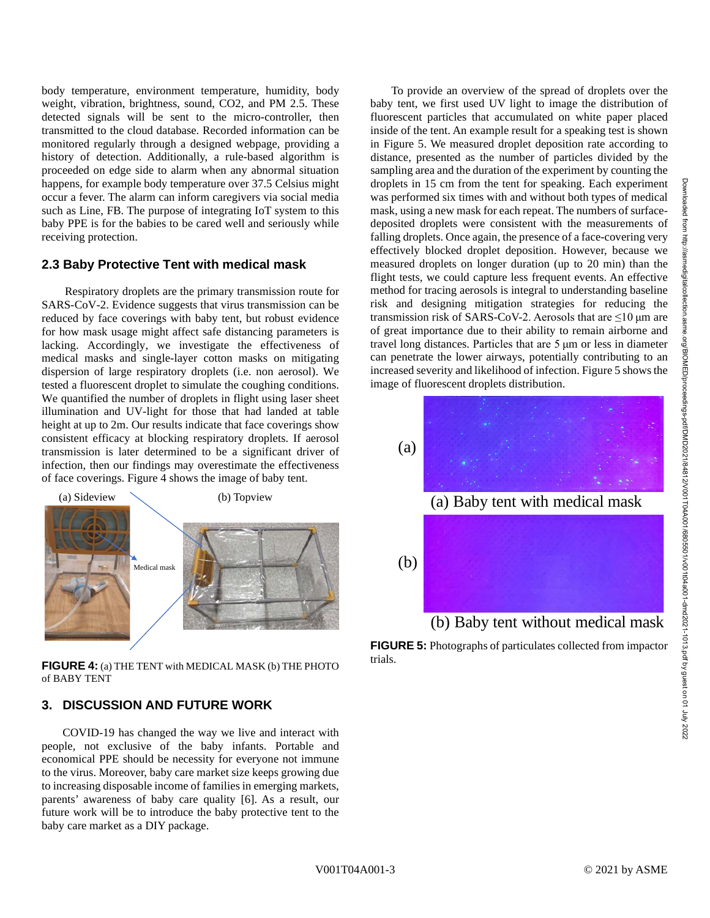Downloaded from http://asmedigitalcollection.asme.org/BIOMED/proceedings-pdf/DMD2021/84812/V001T04A001/6805501/v001t04a001-dmd2021-1013.pdf by guest on 01 July 2022Downloaded from http://asmedigitalcotion.asme.org/BIOMED/proceedings-pdf/DMD2021/84812/V001T044001/805501/v01104a001-dmd2021-1013.pdf by guest on 01 July 2022

body temperature, environment temperature, humidity, body weight, vibration, brightness, sound, CO2, and PM 2.5. These detected signals will be sent to the micro-controller, then transmitted to the cloud database. Recorded information can be monitored regularly through a designed webpage, providing a history of detection. Additionally, a rule-based algorithm is proceeded on edge side to alarm when any abnormal situation happens, for example body temperature over 37.5 Celsius might occur a fever. The alarm can inform caregivers via social media such as Line, FB. The purpose of integrating IoT system to this baby PPE is for the babies to be cared well and seriously while receiving protection.

# **2.3 Baby Protective Tent with medical mask**

Respiratory droplets are the primary transmission route for SARS-CoV-2. Evidence suggests that virus transmission can be reduced by face coverings with baby tent, but robust evidence for how mask usage might affect safe distancing parameters is lacking. Accordingly, we investigate the effectiveness of medical masks and single-layer cotton masks on mitigating dispersion of large respiratory droplets (i.e. non aerosol). We tested a fluorescent droplet to simulate the coughing conditions. We quantified the number of droplets in flight using laser sheet illumination and UV-light for those that had landed at table height at up to 2m. Our results indicate that face coverings show consistent efficacy at blocking respiratory droplets. If aerosol transmission is later determined to be a significant driver of infection, then our findings may overestimate the effectiveness of face coverings. Figure 4 shows the image of baby tent.



**FIGURE 4:** (a) THE TENT with MEDICAL MASK (b) THE PHOTO of BABY TENT

# **3. DISCUSSION AND FUTURE WORK**

COVID-19 has changed the way we live and interact with people, not exclusive of the baby infants. Portable and economical PPE should be necessity for everyone not immune to the virus. Moreover, baby care market size keeps growing due to increasing disposable income of families in emerging markets, parents' awareness of baby care quality [6]. As a result, our future work will be to introduce the baby protective tent to the baby care market as a DIY package.

To provide an overview of the spread of droplets over the baby tent, we first used UV light to image the distribution of fluorescent particles that accumulated on white paper placed inside of the tent. An example result for a speaking test is shown in Figure 5. We measured droplet deposition rate according to distance, presented as the number of particles divided by the sampling area and the duration of the experiment by counting the droplets in 15 cm from the tent for speaking. Each experiment was performed six times with and without both types of medical mask, using a new mask for each repeat. The numbers of surfacedeposited droplets were consistent with the measurements of falling droplets. Once again, the presence of a face-covering very effectively blocked droplet deposition. However, because we measured droplets on longer duration (up to 20 min) than the flight tests, we could capture less frequent events. An effective method for tracing aerosols is integral to understanding baseline risk and designing mitigation strategies for reducing the transmission risk of SARS-CoV-2. Aerosols that are ≤10 μm are of great importance due to their ability to remain airborne and travel long distances. Particles that are 5 μm or less in diameter can penetrate the lower airways, potentially contributing to an increased severity and likelihood of infection. Figure 5 shows the image of fluorescent droplets distribution.



**FIGURE 5:** Photographs of particulates collected from impactor trials.